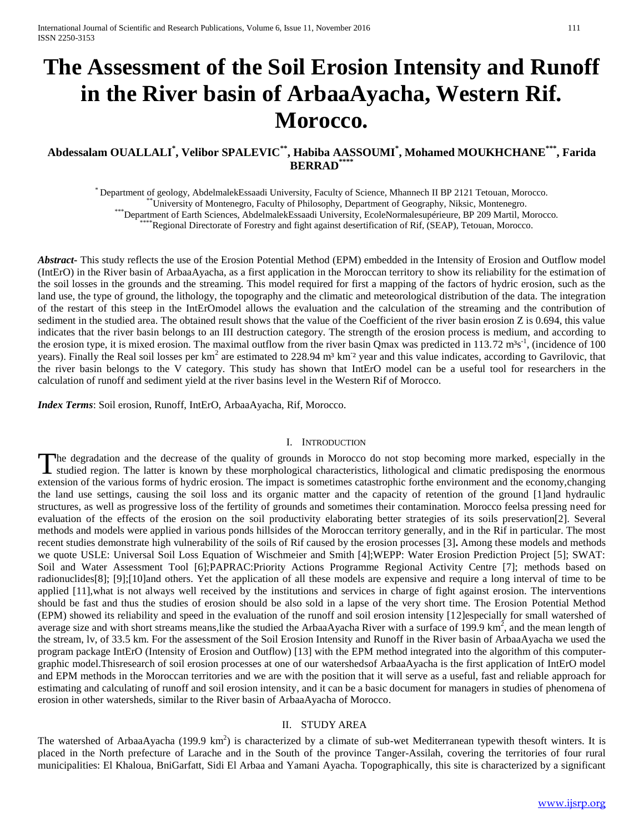# **The Assessment of the Soil Erosion Intensity and Runoff in the River basin of ArbaaAyacha, Western Rif. Morocco.**

# **Abdessalam OUALLALI\* , Velibor SPALEVIC\*\* , Habiba AASSOUMI\* , Mohamed MOUKHCHANE\*\*\*, Farida BERRAD**\*\*

\* Department of geology, AbdelmalekEssaadi University, Faculty of Science, Mhannech II BP 2121 Tetouan, Morocco. \*\*University of Montenegro, Faculty of Philosophy, Department of Geography, Niksic, Montenegro. \*\*\*Department of Earth Sciences, AbdelmalekEssaadi University, EcoleNormalesupérieure, BP 209 Martil, Morocco.

\*Regional Directorate of Forestry and fight against desertification of Rif, (SEAP), Tetouan, Morocco.

*Abstract***-** This study reflects the use of the Erosion Potential Method (EPM) embedded in the Intensity of Erosion and Outflow model (IntErO) in the River basin of ArbaaAyacha, as a first application in the Moroccan territory to show its reliability for the estimation of the soil losses in the grounds and the streaming. This model required for first a mapping of the factors of hydric erosion, such as the land use, the type of ground, the lithology, the topography and the climatic and meteorological distribution of the data. The integration of the restart of this steep in the IntErOmodel allows the evaluation and the calculation of the streaming and the contribution of sediment in the studied area. The obtained result shows that the value of the Coefficient of the river basin erosion Z is 0.694, this value indicates that the river basin belongs to an III destruction category. The strength of the erosion process is medium, and according to the erosion type, it is mixed erosion. The maximal outflow from the river basin Qmax was predicted in 113.72  $m^3s^{-1}$ , (incidence of 100 years). Finally the Real soil losses per  $km^2$  are estimated to 228.94  $m^3$  km<sup>2</sup> year and this value indicates, according to Gavrilovic, that the river basin belongs to the V category. This study has shown that IntErO model can be a useful tool for researchers in the calculation of runoff and sediment yield at the river basins level in the Western Rif of Morocco.

*Index Terms*: Soil erosion, Runoff, IntErO, ArbaaAyacha, Rif, Morocco.

#### I. INTRODUCTION

he degradation and the decrease of the quality of grounds in Morocco do not stop becoming more marked, especially in the The degradation and the decrease of the quality of grounds in Morocco do not stop becoming more marked, especially in the studied region. The latter is known by these morphological characteristics, lithological and climati extension of the various forms of hydric erosion. The impact is sometimes catastrophic forthe environment and the economy,changing the land use settings, causing the soil loss and its organic matter and the capacity of retention of the ground [1]and hydraulic structures, as well as progressive loss of the fertility of grounds and sometimes their contamination. Morocco feelsa pressing need for evaluation of the effects of the erosion on the soil productivity elaborating better strategies of its soils preservation[2]. Several methods and models were applied in various ponds hillsides of the Moroccan territory generally, and in the Rif in particular. The most recent studies demonstrate high vulnerability of the soils of Rif caused by the erosion processes [3]**.** Among these models and methods we quote USLE: Universal Soil Loss Equation of Wischmeier and Smith [4];WEPP: Water Erosion Prediction Project [5]; SWAT: Soil and Water Assessment Tool [6];PAPRAC:Priority Actions Programme Regional Activity Centre [7]; methods based on radionuclides[8]; [9];[10]and others. Yet the application of all these models are expensive and require a long interval of time to be applied [11],what is not always well received by the institutions and services in charge of fight against erosion. The interventions should be fast and thus the studies of erosion should be also sold in a lapse of the very short time. The Erosion Potential Method (EPM) showed its reliability and speed in the evaluation of the runoff and soil erosion intensity [12]especially for small watershed of average size and with short streams means, like the studied the ArbaaAyacha River with a surface of 199.9 km<sup>2</sup>, and the mean length of the stream, lv, of 33.5 km. For the assessment of the Soil Erosion Intensity and Runoff in the River basin of ArbaaAyacha we used the program package IntErO (Intensity of Erosion and Outflow) [13] with the EPM method integrated into the algorithm of this computergraphic model.Thisresearch of soil erosion processes at one of our watershedsof ArbaaAyacha is the first application of IntErO model and EPM methods in the Moroccan territories and we are with the position that it will serve as a useful, fast and reliable approach for estimating and calculating of runoff and soil erosion intensity, and it can be a basic document for managers in studies of phenomena of erosion in other watersheds, similar to the River basin of ArbaaAyacha of Morocco.

#### II. STUDY AREA

The watershed of ArbaaAyacha (199.9 km<sup>2</sup>) is characterized by a climate of sub-wet Mediterranean typewith thesoft winters. It is placed in the North prefecture of Larache and in the South of the province Tanger-Assilah, covering the territories of four rural municipalities: El Khaloua, BniGarfatt, Sidi El Arbaa and Yamani Ayacha. Topographically, this site is characterized by a significant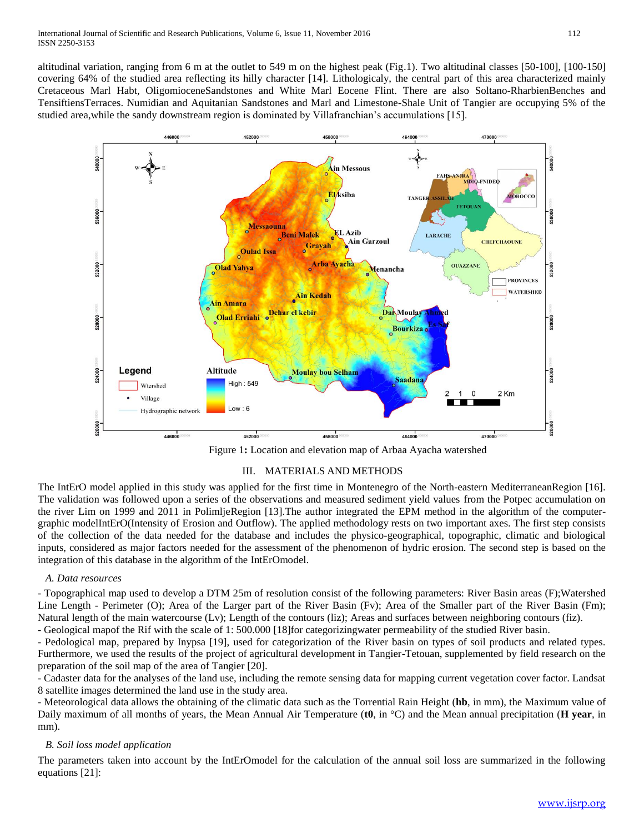altitudinal variation, ranging from 6 m at the outlet to 549 m on the highest peak (Fig.1). Two altitudinal classes [50-100], [100-150] covering 64% of the studied area reflecting its hilly character [14]. Lithologicaly, the central part of this area characterized mainly Cretaceous Marl Habt, OligomioceneSandstones and White Marl Eocene Flint. There are also Soltano-RharbienBenches and TensiftiensTerraces. Numidian and Aquitanian Sandstones and Marl and Limestone-Shale Unit of Tangier are occupying 5% of the studied area,while the sandy downstream region is dominated by Villafranchian's accumulations [15].



Figure 1**:** Location and elevation map of Arbaa Ayacha watershed

# III. MATERIALS AND METHODS

The IntErO model applied in this study was applied for the first time in Montenegro of the North-eastern MediterraneanRegion [16]. The validation was followed upon a series of the observations and measured sediment yield values from the Potpec accumulation on the river Lim on 1999 and 2011 in PolimljeRegion [13].The author integrated the EPM method in the algorithm of the computergraphic modelIntErO(Intensity of Erosion and Outflow). The applied methodology rests on two important axes. The first step consists of the collection of the data needed for the database and includes the physico-geographical, topographic, climatic and biological inputs, considered as major factors needed for the assessment of the phenomenon of hydric erosion. The second step is based on the integration of this database in the algorithm of the IntErOmodel.

## *A. Data resources*

- Topographical map used to develop a DTM 25m of resolution consist of the following parameters: River Basin areas (F);Watershed Line Length - Perimeter (O); Area of the Larger part of the River Basin (Fv); Area of the Smaller part of the River Basin (Fm); Natural length of the main watercourse (Lv); Length of the contours (liz); Areas and surfaces between neighboring contours (fiz).

- Geological mapof the Rif with the scale of 1: 500.000 [18]for categorizingwater permeability of the studied River basin.

- Pedological map, prepared by Inypsa [19], used for categorization of the River basin on types of soil products and related types. Furthermore, we used the results of the project of agricultural development in Tangier-Tetouan, supplemented by field research on the preparation of the soil map of the area of Tangier [20].

- Cadaster data for the analyses of the land use, including the remote sensing data for mapping current vegetation cover factor. Landsat 8 satellite images determined the land use in the study area.

- Meteorological data allows the obtaining of the climatic data such as the Torrential Rain Height (**hb**, in mm), the Maximum value of Daily maximum of all months of years, the Mean Annual Air Temperature (**t0**, in °C) and the Mean annual precipitation (**H year**, in mm).

# *B. Soil loss model application*

The parameters taken into account by the IntErOmodel for the calculation of the annual soil loss are summarized in the following equations [21]: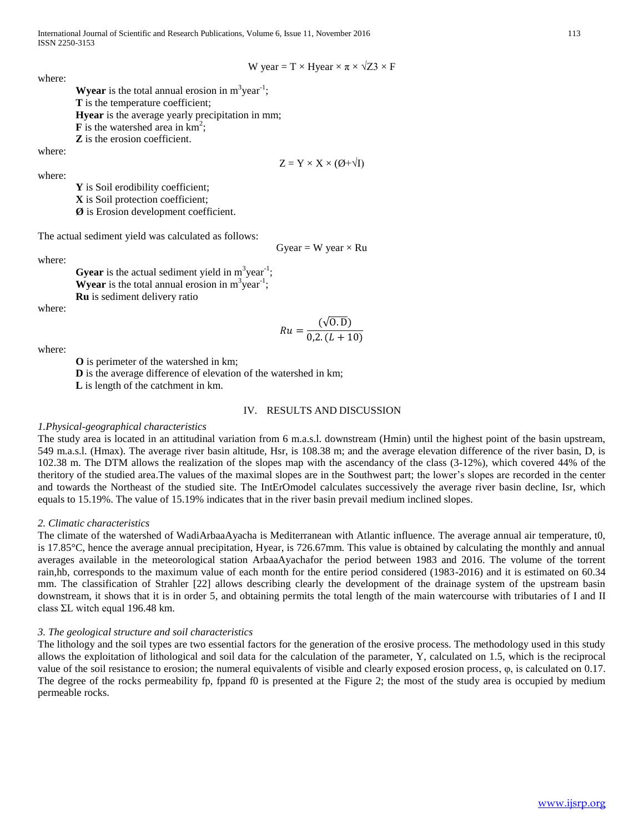International Journal of Scientific and Research Publications, Volume 6, Issue 11, November 2016 113 ISSN 2250-3153

W year = T × Hyear × 
$$
\pi
$$
 ×  $\sqrt{Z3}$  × F

where:

**Wyear** is the total annual erosion in  $m^3$ year<sup>-1</sup>; **T** is the temperature coefficient; **Hyear** is the average yearly precipitation in mm;  $\mathbf{F}$  is the watershed area in  $\text{km}^2$ ; **Z** is the erosion coefficient.

where:

 $Z = Y \times X \times (Ø + \sqrt{I})$ 

where:

**Y** is Soil erodibility coefficient; **X** is Soil protection coefficient; **Ø** is Erosion development coefficient.

The actual sediment yield was calculated as follows:

Gyear = W year  $\times$  Ru

where:

**Gyear** is the actual sediment yield in  $m^3$ year<sup>-1</sup>; **Wyear** is the total annual erosion in  $m^3$ year<sup>-1</sup>; **Ru** is sediment delivery ratio

where:

$$
Ru = \frac{(\sqrt{0. D})}{0.2.(L + 10)}
$$

where:

**O** is perimeter of the watershed in km; **D** is the average difference of elevation of the watershed in km;

**L** is length of the catchment in km.

#### IV. RESULTS AND DISCUSSION

#### *1.Physical-geographical characteristics*

The study area is located in an attitudinal variation from 6 m.a.s.l. downstream (Hmin) until the highest point of the basin upstream, 549 m.a.s.l. (Hmax). The average river basin altitude, Hsr, is 108.38 m; and the average elevation difference of the river basin, D, is 102.38 m. The DTM allows the realization of the slopes map with the ascendancy of the class (3-12%), which covered 44% of the theritory of the studied area.The values of the maximal slopes are in the Southwest part; the lower's slopes are recorded in the center and towards the Northeast of the studied site. The IntErOmodel calculates successively the average river basin decline, Isr, which equals to 15.19%. The value of 15.19% indicates that in the river basin prevail medium inclined slopes.

#### *2. Climatic characteristics*

The climate of the watershed of WadiArbaaAyacha is Mediterranean with Atlantic influence. The average annual air temperature, t0, is 17.85°C, hence the average annual precipitation, Hyear, is 726.67mm. This value is obtained by calculating the monthly and annual averages available in the meteorological station ArbaaAyachafor the period between 1983 and 2016. The volume of the torrent rain,hb, corresponds to the maximum value of each month for the entire period considered (1983-2016) and it is estimated on 60.34 mm. The classification of Strahler [22] allows describing clearly the development of the drainage system of the upstream basin downstream, it shows that it is in order 5, and obtaining permits the total length of the main watercourse with tributaries of I and II class ΣL witch equal 196.48 km.

#### *3. The geological structure and soil characteristics*

The lithology and the soil types are two essential factors for the generation of the erosive process. The methodology used in this study allows the exploitation of lithological and soil data for the calculation of the parameter, Y, calculated on 1.5, which is the reciprocal value of the soil resistance to erosion; the numeral equivalents of visible and clearly exposed erosion process, φ, is calculated on 0.17. The degree of the rocks permeability fp, fppand f0 is presented at the Figure 2; the most of the study area is occupied by medium permeable rocks.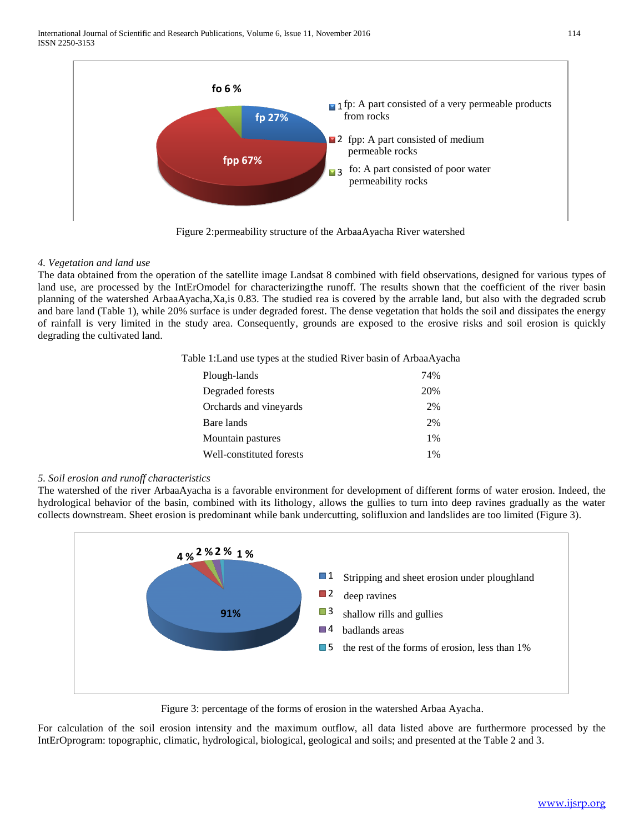

## *4. Vegetation and land use*

The data obtained from the operation of the satellite image Landsat 8 combined with field observations, designed for various types of land use, are processed by the IntErOmodel for characterizingthe runoff. The results shown that the coefficient of the river basin planning of the watershed ArbaaAyacha,Xa,is 0.83. The studied rea is covered by the arrable land, but also with the degraded scrub and bare land (Table 1), while 20% surface is under degraded forest. The dense vegetation that holds the soil and dissipates the energy of rainfall is very limited in the study area. Consequently, grounds are exposed to the erosive risks and soil erosion is quickly degrading the cultivated land.

Table 1:Land use types at the studied River basin of ArbaaAyacha

| Plough-lands             | 74%   |
|--------------------------|-------|
| Degraded forests         | 20%   |
| Orchards and vineyards   | 2%    |
| Bare lands               | 2%    |
| Mountain pastures        | $1\%$ |
| Well-constituted forests | 1%    |
|                          |       |

## *5. Soil erosion and runoff characteristics*

The watershed of the river ArbaaAyacha is a favorable environment for development of different forms of water erosion. Indeed, the hydrological behavior of the basin, combined with its lithology, allows the gullies to turn into deep ravines gradually as the water collects downstream. Sheet erosion is predominant while bank undercutting, solifluxion and landslides are too limited (Figure 3).



Figure 3: percentage of the forms of erosion in the watershed Arbaa Ayacha.

For calculation of the soil erosion intensity and the maximum outflow, all data listed above are furthermore processed by the IntErOprogram: topographic, climatic, hydrological, biological, geological and soils; and presented at the Table 2 and 3.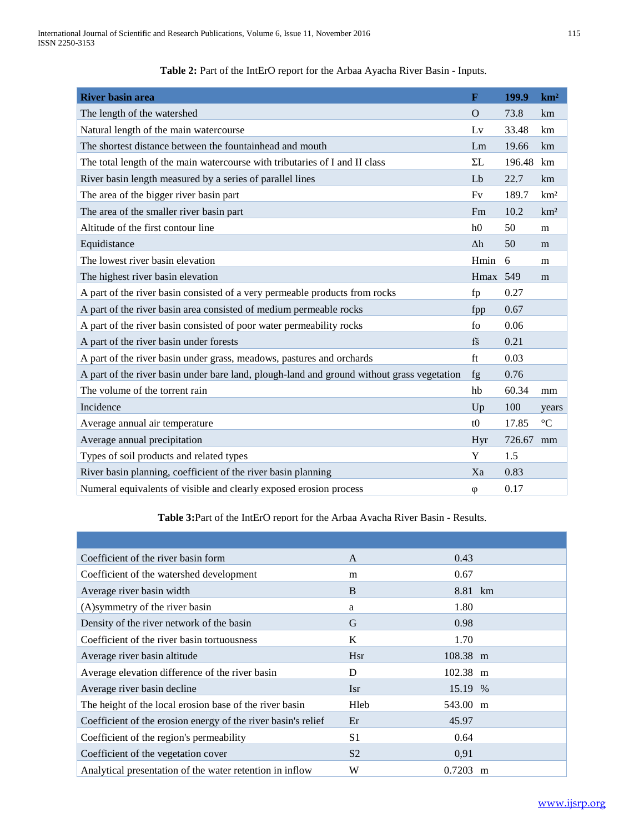| <b>River basin area</b>                                                                    | $\mathbf{F}$   | 199.9  | km <sup>2</sup> |
|--------------------------------------------------------------------------------------------|----------------|--------|-----------------|
| The length of the watershed                                                                | $\Omega$       | 73.8   | km              |
| Natural length of the main watercourse                                                     | Lv             | 33.48  | km              |
| The shortest distance between the fountainhead and mouth                                   | Lm             | 19.66  | km              |
| The total length of the main watercourse with tributaries of I and II class                | $\Sigma L$     | 196.48 | km              |
| River basin length measured by a series of parallel lines                                  | Lb             | 22.7   | km              |
| The area of the bigger river basin part                                                    | Fv             | 189.7  | km <sup>2</sup> |
| The area of the smaller river basin part                                                   | Fm             | 10.2   | km <sup>2</sup> |
| Altitude of the first contour line                                                         | h <sub>0</sub> | 50     | m               |
| Equidistance                                                                               | $\Delta h$     | 50     | m               |
| The lowest river basin elevation                                                           | Hmin           | 6      | m               |
| The highest river basin elevation                                                          | Hmax 549       |        | m               |
| A part of the river basin consisted of a very permeable products from rocks                | fp             | 0.27   |                 |
| A part of the river basin area consisted of medium permeable rocks                         | fpp            | 0.67   |                 |
| A part of the river basin consisted of poor water permeability rocks                       | fo             | 0.06   |                 |
| A part of the river basin under forests                                                    | $f\tilde{s}$   | 0.21   |                 |
| A part of the river basin under grass, meadows, pastures and orchards                      | ft             | 0.03   |                 |
| A part of the river basin under bare land, plough-land and ground without grass vegetation | fg             | 0.76   |                 |
| The volume of the torrent rain                                                             | hb             | 60.34  | mm              |
| Incidence                                                                                  | Up             | 100    | years           |
| Average annual air temperature                                                             | t0             | 17.85  | $\rm ^{\circ}C$ |
| Average annual precipitation                                                               | Hyr            | 726.67 | mm              |
| Types of soil products and related types                                                   | Y              | 1.5    |                 |
| River basin planning, coefficient of the river basin planning                              | Xa             | 0.83   |                 |
| Numeral equivalents of visible and clearly exposed erosion process                         | $\varphi$      | 0.17   |                 |

Table 2: Part of the IntErO report for the Arbaa Ayacha River Basin - Inputs.

**Table 3:**Part of the IntErO report for the Arbaa Ayacha River Basin - Results.

| Coefficient of the river basin form                           | A              | 0.43     |   |
|---------------------------------------------------------------|----------------|----------|---|
| Coefficient of the watershed development                      | m              | 0.67     |   |
| Average river basin width                                     | B              | 8.81 km  |   |
| (A)symmetry of the river basin                                | a              | 1.80     |   |
| Density of the river network of the basin                     | G              | 0.98     |   |
| Coefficient of the river basin tortuousness                   | K              | 1.70     |   |
| Average river basin altitude                                  | <b>Hsr</b>     | 108.38 m |   |
| Average elevation difference of the river basin               | D              | 102.38 m |   |
| Average river basin decline                                   | <b>Isr</b>     | 15.19 %  |   |
| The height of the local erosion base of the river basin       | Hleb           | 543.00 m |   |
| Coefficient of the erosion energy of the river basin's relief | Er             | 45.97    |   |
| Coefficient of the region's permeability                      | S <sub>1</sub> | 0.64     |   |
| Coefficient of the vegetation cover                           | S <sub>2</sub> | 0.91     |   |
| Analytical presentation of the water retention in inflow      | W              | 0.7203   | m |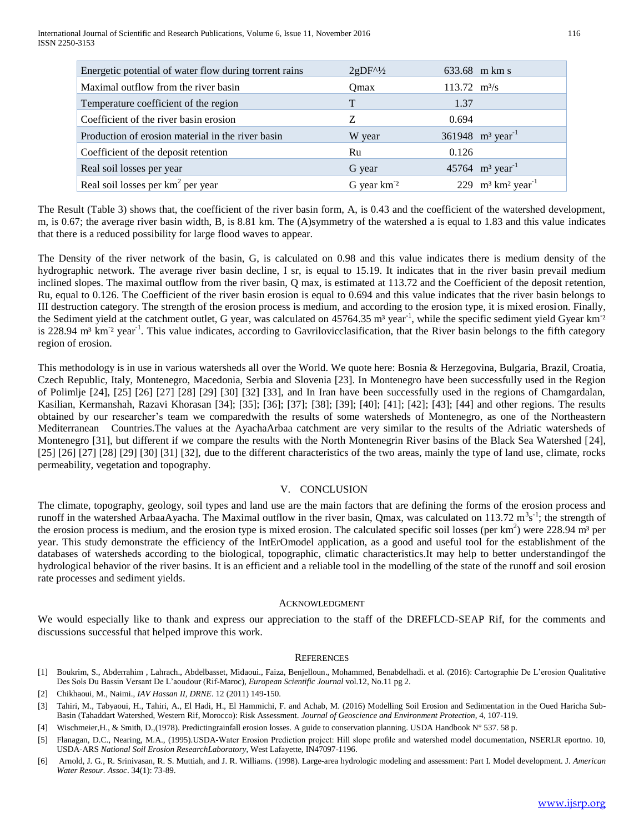| Energetic potential of water flow during torrent rains | $2gDF^{\prime\prime}/2$ |                               | 633.68 m km s                                |
|--------------------------------------------------------|-------------------------|-------------------------------|----------------------------------------------|
| Maximal outflow from the river basin                   | Omax                    | $113.72 \text{ m}^3\text{/s}$ |                                              |
| Temperature coefficient of the region                  | T                       | 1.37                          |                                              |
| Coefficient of the river basin erosion                 | Z                       | 0.694                         |                                              |
| Production of erosion material in the river basin      | W year                  |                               | 361948 $m^3$ year <sup>-1</sup>              |
| Coefficient of the deposit retention                   | Ru                      | 0.126                         |                                              |
| Real soil losses per year                              | G year                  |                               | 45764 $m^3$ year <sup>-1</sup>               |
| Real soil losses per km <sup>2</sup> per year          | G year km <sup>-2</sup> |                               | 229 $m^3$ km <sup>2</sup> year <sup>-1</sup> |

The Result (Table 3) shows that, the coefficient of the river basin form, A, is 0.43 and the coefficient of the watershed development, m, is 0.67; the average river basin width, B, is 8.81 km. The (A)symmetry of the watershed a is equal to 1.83 and this value indicates that there is a reduced possibility for large flood waves to appear.

The Density of the river network of the basin, G, is calculated on 0.98 and this value indicates there is medium density of the hydrographic network. The average river basin decline, I sr, is equal to 15.19. It indicates that in the river basin prevail medium inclined slopes. The maximal outflow from the river basin, Q max, is estimated at 113.72 and the Coefficient of the deposit retention, Ru, equal to 0.126. The Coefficient of the river basin erosion is equal to 0.694 and this value indicates that the river basin belongs to III destruction category. The strength of the erosion process is medium, and according to the erosion type, it is mixed erosion. Finally, the Sediment yield at the catchment outlet, G year, was calculated on 45764.35 m<sup>3</sup> year<sup>-1</sup>, while the specific sediment yield Gyear km<sup>-2</sup> is 228.94 m<sup>3</sup> km<sup>2</sup> year<sup>-1</sup>. This value indicates, according to Gavrilovicclasification, that the River basin belongs to the fifth category region of erosion.

This methodology is in use in various watersheds all over the World. We quote here: Bosnia & Herzegovina, Bulgaria, Brazil, Croatia, Czech Republic, Italy, Montenegro, Macedonia, Serbia and Slovenia [23]. In Montenegro have been successfully used in the Region of Polimlje [24], [25] [26] [27] [28] [29] [30] [32] [33], and In Iran have been successfully used in the regions of Chamgardalan, Kasilian, Kermanshah, Razavi Khorasan [34]; [35]; [36]; [37]; [38]; [39]; [40]; [41]; [42]; [43]; [44] and other regions. The results obtained by our researcher's team we comparedwith the results of some watersheds of Montenegro, as one of the Northeastern Mediterranean Countries.The values at the AyachaArbaa catchment are very similar to the results of the Adriatic watersheds of Montenegro [31], but different if we compare the results with the North Montenegrin River basins of the Black Sea Watershed [24],  $[25]$   $[26]$   $[27]$   $[28]$   $[29]$   $[30]$   $[31]$   $[32]$ , due to the different characteristics of the two areas, mainly the type of land use, climate, rocks permeability, vegetation and topography.

## V. CONCLUSION

The climate, topography, geology, soil types and land use are the main factors that are defining the forms of the erosion process and runoff in the watershed ArbaaAyacha. The Maximal outflow in the river basin, Qmax, was calculated on 113.72  $m^3s^{-1}$ ; the strength of the erosion process is medium, and the erosion type is mixed erosion. The calculated specific soil losses (per  $km<sup>2</sup>$ ) were 228.94  $m<sup>3</sup>$  per year. This study demonstrate the efficiency of the IntErOmodel application, as a good and useful tool for the establishment of the databases of watersheds according to the biological, topographic, climatic characteristics.It may help to better understandingof the hydrological behavior of the river basins. It is an efficient and a reliable tool in the modelling of the state of the runoff and soil erosion rate processes and sediment yields.

#### ACKNOWLEDGMENT

We would especially like to thank and express our appreciation to the staff of the DREFLCD-SEAP Rif, for the comments and discussions successful that helped improve this work.

#### **REFERENCES**

- [4] Wischmeier,H., & Smith, D.,(1978). Predictingrainfall erosion losses. A guide to conservation planning. USDA Handbook N° 537. 58 p.
- [5] Flanagan, D.C., Nearing, M.A., (1995).USDA-Water Erosion Prediction project: Hill slope profile and watershed model documentation, NSERLR eportno. 10, USDA-ARS *National Soil Erosion ResearchLaboratory*, West Lafayette, IN47097-1196.
- [6] Arnold, J. G., R. Srinivasan, R. S. Muttiah, and J. R. Williams. (1998). Large-area hydrologic modeling and assessment: Part I. Model development. J*. American Water Resour. Assoc*. 34(1): 73-89.

<sup>[1]</sup> Boukrim, S., Abderrahim , Lahrach., Abdelbasset, Midaoui., Faiza, Benjelloun., Mohammed, Benabdelhadi. et al. (2016): Cartographie De L'erosion Qualitative Des Sols Du Bassin Versant De L'aoudour (Rif-Maroc), *European Scientific Journal* vol.12, No.11 pg 2.

<sup>[2]</sup> Chikhaoui, M., Naimi., *IAV Hassan II, DRNE*. 12 (2011) 149-150.

<sup>[3]</sup> Tahiri, M., Tabyaoui, H., Tahiri, A., El Hadi, H., El Hammichi, F. and Achab, M. (2016) Modelling Soil Erosion and Sedimentation in the Oued Haricha Sub-Basin (Tahaddart Watershed, Western Rif, Morocco): Risk Assessment. *Journal of Geoscience and Environment Protection*, 4, 107-119.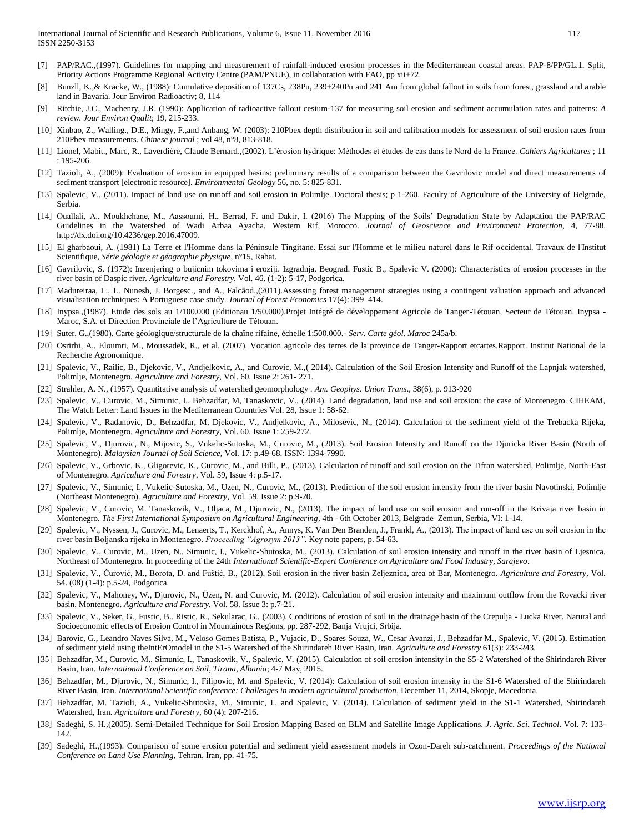- [7] PAP/RAC.,(1997). Guidelines for mapping and measurement of rainfall-induced erosion processes in the Mediterranean coastal areas. PAP-8/PP/GL.1. Split, Priority Actions Programme Regional Activity Centre (PAM/PNUE), in collaboration with FAO, pp xii+72.
- [8] Bunzll, K.,& Kracke, W., (1988): Cumulative deposition of 137Cs, 238Pu, 239+240Pu and 241 Am from global fallout in soils from forest, grassland and arable land in Bavaria. Jour Environ Radioactiv; 8, 114
- [9] Ritchie, J.C., Machenry, J.R. (1990): Application of radioactive fallout cesium-137 for measuring soil erosion and sediment accumulation rates and patterns: *A review. Jour Environ Qualit*; 19, 215-233.
- [10] Xinbao, Z., Walling., D.E., Mingy, F.,and Anbang, W. (2003): 210Pbex depth distribution in soil and calibration models for assessment of soil erosion rates from 210Pbex measurements. *Chinese journal* ; vol 48, n°8, 813-818.
- [11] Lionel, Mabit., Marc, R., Laverdière, Claude Bernard.,(2002). L'érosion hydrique: Méthodes et études de cas dans le Nord de la France. *Cahiers Agricultures* ; 11 : 195-206.
- [12] Tazioli, A., (2009): Evaluation of erosion in equipped basins: preliminary results of a comparison between the Gavrilovic model and direct measurements of sediment transport [electronic resource]. *Environmental Geology* 56, no. 5: 825-831.
- [13] Spalevic, V., (2011). Impact of land use on runoff and soil erosion in Polimlje. Doctoral thesis; p 1-260. Faculty of Agriculture of the University of Belgrade, Serbia.
- [14] Ouallali, A., Moukhchane, M., Aassoumi, H., Berrad, F. and Dakir, I. (2016) The Mapping of the Soils' Degradation State by Adaptation the PAP/RAC Guidelines in the Watershed of Wadi Arbaa Ayacha, Western Rif, Morocco. *Journal of Geoscience and Environment Protection*, 4, 77-88. [http://dx.doi.org/10.4236/gep.2016.47009.](http://dx.doi.org/10.4236/gep.2016.47009)
- [15] El gharbaoui, A. (1981) La Terre et l'Homme dans la Péninsule Tingitane. Essai sur l'Homme et le milieu naturel dans le Rif occidental. Travaux de l'Institut Scientifique, *Série géologie et géographie physique*, n°15, Rabat.
- [16] Gavrilovic, S. (1972): Inzenjering o bujicnim tokovima i eroziji. Izgradnja. Beograd. Fustic B., Spalevic V. (2000): Characteristics of erosion processes in the river basin of Daspic river. *Agriculture and Forestry*, Vol. 46. (1-2): 5-17, Podgorica.
- [17] Madureiraa, L., L. Nunesb, J. Borgesc., and A., Falcãod.,(2011).Assessing forest management strategies using a contingent valuation approach and advanced visualisation techniques: A Portuguese case study. *Journal of Forest Economics* 17(4): 399–414.
- [18] Inypsa.,(1987). Etude des sols au 1/100.000 (Editionau 1/50.000).Projet Intégré de développement Agricole de Tanger-Tétouan, Secteur de Tétouan. Inypsa Maroc, S.A. et Direction Provinciale de l'Agriculture de Tétouan.
- [19] Suter, G.,(1980). Carte géologique/structurale de la chaîne rifaine, échelle 1:500,000.- *Serv. Carte géol. Maroc* 245a/b.
- [20] Osrirhi, A., Eloumri, M., Moussadek, R., et al. (2007). Vocation agricole des terres de la province de Tanger-Rapport etcartes.Rapport. Institut National de la Recherche Agronomique.
- [21] Spalevic, V., Railic, B., Djekovic, V., Andjelkovic, A., and Curovic, M., (2014). Calculation of the Soil Erosion Intensity and Runoff of the Lapnjak watershed, Polimlje, Montenegro. *Agriculture and Forestry,* Vol. 60. Issue 2: 261- 271.
- [22] Strahler, A. N., (1957). Quantitative analysis of watershed geomorphology . *Am. Geophys. Union Trans*., 38(6), p. 913-920
- [23] Spalevic, V., Curovic, M., Simunic, I., Behzadfar, M, Tanaskovic, V., (2014). Land degradation, land use and soil erosion: the case of Montenegro. CIHEAM, The Watch Letter: Land Issues in the Mediterranean Countries Vol. 28, Issue 1: 58-62.
- [24] Spalevic, V., Radanovic, D., Behzadfar, M, Djekovic, V., Andjelkovic, A., Milosevic, N., (2014). Calculation of the sediment yield of the Trebacka Rijeka, Polimlje, Montenegro. *Agriculture and Forestry*, Vol. 60. Issue 1: 259-272.
- [25] Spalevic, V., Djurovic, N., Mijovic, S., Vukelic-Sutoska, M., Curovic, M., (2013). Soil Erosion Intensity and Runoff on the Djuricka River Basin (North of Montenegro). *Malaysian Journal of Soil Science*, Vol. 17: p.49-68. ISSN: 1394-7990.
- [26] Spalevic, V., Grbovic, K., Gligorevic, K., Curovic, M., and Billi, P., (2013). Calculation of runoff and soil erosion on the Tifran watershed, Polimlje, North-East of Montenegro. *Agriculture and Forestry*, Vol. 59, Issue 4: p.5-17.
- [27] Spalevic, V., Simunic, I., Vukelic-Sutoska, M., Uzen, N., Curovic, M., (2013). Prediction of the soil erosion intensity from the river basin Navotinski, Polimlje (Northeast Montenegro). *Agriculture and Forestry*, Vol. 59, Issue 2: p.9-20.
- [28] Spalevic, V., Curovic, M. Tanaskovik, V., Oljaca, M., Djurovic, N., (2013). The impact of land use on soil erosion and run-off in the Krivaja river basin in Montenegro. *The First International Symposium on Agricultural Engineering*, 4th - 6th October 2013, Belgrade–Zemun, Serbia, VI: 1-14.
- [29] Spalevic, V., Nyssen, J., Curovic, M., Lenaerts, T., Kerckhof, A., Annys, K. Van Den Branden, J., Frankl, A., (2013). The impact of land use on soil erosion in the river basin Boljanska rijeka in Мontenegro. *Proceeding "Agrosym 2013"*. Key note papers, p. 54-63.
- [30] Spalevic, V., Curovic, M., Uzen, N., Simunic, I., Vukelic-Shutoska, M., (2013). Calculation of soil erosion intensity and runoff in the river basin of Ljesnica, Northeast of Montenegro. In proceeding of the 24th *International Scientific-Expert Conference on Agriculture and Food Industry, Sarajevo*.
- [31] Spalevic, V., Čurović, M., Borota, D. and Fuštić, B., (2012). Soil erosion in the river basin Zeljeznica, area of Bar, Montenegro. *Agriculture and Forestry*, Vol. 54. (08) (1-4): p.5-24, Podgorica.
- [32] Spalevic, V., Mahoney, W., Djurovic, N., Üzen, N. and Curovic, M. (2012). Calculation of soil erosion intensity and maximum outflow from the Rovacki river basin, Montenegro. *Agriculture and Forestry*, Vol. 58. Issue 3: p.7-21.
- [33] Spalevic, V., Seker, G., Fustic, B., Ristic, R., Sekularac, G., (2003). Conditions of erosion of soil in the drainage basin of the Crepulja Lucka River. Natural and Socioeconomic effects of Erosion Control in Mountainous Regions, pp. 287-292, Banja Vrujci, Srbija.
- [34] Barovic, G., Leandro Naves Silva, M., Veloso Gomes Batista, P., Vujacic, D., Soares Souza, W., Cesar Avanzi, J., Behzadfar M., Spalevic, V. (2015). Estimation of sediment yield using theIntErOmodel in the S1-5 Watershed of the Shirindareh River Basin, Iran. *Agriculture and Forestry* 61(3): 233-243.
- [35] Behzadfar, M., Curovic, M., Simunic, I., Tanaskovik, V., Spalevic, V. (2015). Calculation of soil erosion intensity in the S5-2 Watershed of the Shirindareh River Basin, Iran. *International Conference on Soil, Tirana, Albania*; 4-7 May, 2015.
- [36] Behzadfar, M., Djurovic, N., Simunic, I., Filipovic, M. and Spalevic, V. (2014): Calculation of soil erosion intensity in the S1-6 Watershed of the Shirindareh River Basin, Iran. *International Scientific conference: Challenges in modern agricultural production*, December 11, 2014, Skopje, Macedonia.
- [37] Behzadfar, M. Tazioli, A., Vukelic-Shutoska, M., Simunic, I., and Spalevic, V. (2014). Calculation of sediment yield in the S1-1 Watershed, Shirindareh Watershed, Iran. *Agriculture and Forestry*, 60 (4): 207-216.
- [38] Sadeghi, S. H.,(2005). Semi-Detailed Technique for Soil Erosion Mapping Based on BLM and Satellite Image Applications. *J. Agric. Sci. Technol*. Vol. 7: 133- 142.
- [39] Sadeghi, H.,(1993). Comparison of some erosion potential and sediment yield assessment models in Ozon-Dareh sub-catchment. *Proceedings of the National Conference on Land Use Planning*, Tehran, Iran, pp. 41-75.